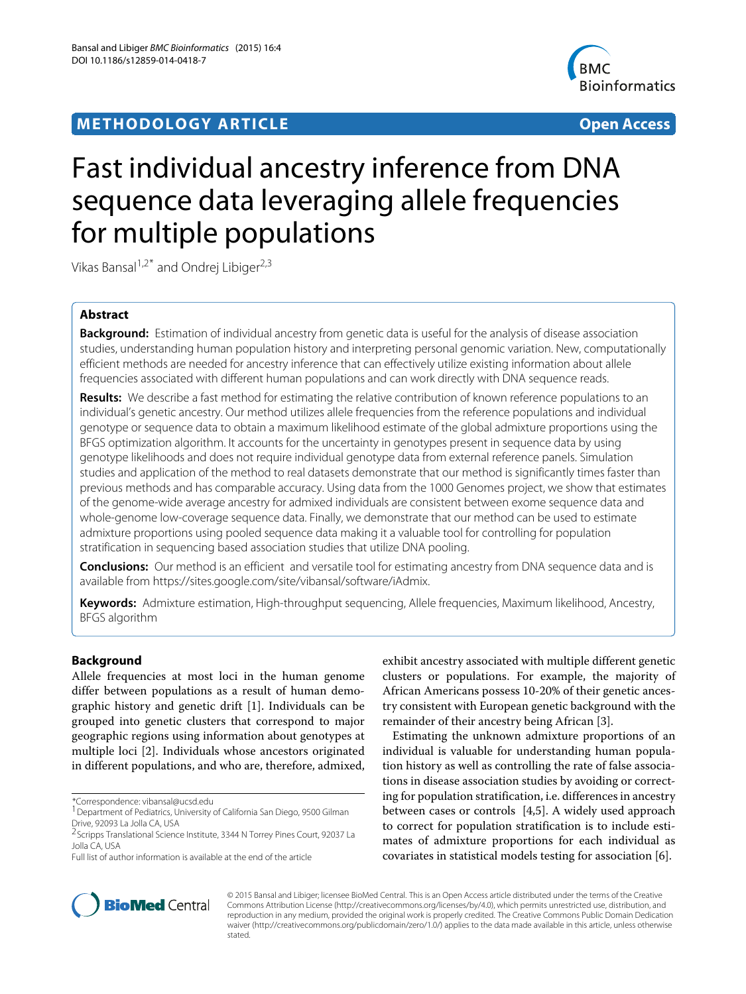# **METHODOLOGY ARTICLE Open Access**



# Fast individual ancestry inference from DNA sequence data leveraging allele frequencies for multiple populations

Vikas Bansal<sup>1,2\*</sup> and Ondrej Libiger<sup>2,3</sup>

# **Abstract**

**Background:** Estimation of individual ancestry from genetic data is useful for the analysis of disease association studies, understanding human population history and interpreting personal genomic variation. New, computationally efficient methods are needed for ancestry inference that can effectively utilize existing information about allele frequencies associated with different human populations and can work directly with DNA sequence reads.

**Results:** We describe a fast method for estimating the relative contribution of known reference populations to an individual's genetic ancestry. Our method utilizes allele frequencies from the reference populations and individual genotype or sequence data to obtain a maximum likelihood estimate of the global admixture proportions using the BFGS optimization algorithm. It accounts for the uncertainty in genotypes present in sequence data by using genotype likelihoods and does not require individual genotype data from external reference panels. Simulation studies and application of the method to real datasets demonstrate that our method is significantly times faster than previous methods and has comparable accuracy. Using data from the 1000 Genomes project, we show that estimates of the genome-wide average ancestry for admixed individuals are consistent between exome sequence data and whole-genome low-coverage sequence data. Finally, we demonstrate that our method can be used to estimate admixture proportions using pooled sequence data making it a valuable tool for controlling for population stratification in sequencing based association studies that utilize DNA pooling.

**Conclusions:** Our method is an efficient and versatile tool for estimating ancestry from DNA sequence data and is available from [https://sites.google.com/site/vibansal/software/iAdmix.](https://sites.google.com/site/vibansal/software/iAdmix)

**Keywords:** Admixture estimation, High-throughput sequencing, Allele frequencies, Maximum likelihood, Ancestry, BFGS algorithm

# **Background**

Allele frequencies at most loci in the human genome differ between populations as a result of human demographic history and genetic drift [\[1\]](#page-9-0). Individuals can be grouped into genetic clusters that correspond to major geographic regions using information about genotypes at multiple loci [\[2\]](#page-9-1). Individuals whose ancestors originated in different populations, and who are, therefore, admixed, exhibit ancestry associated with multiple different genetic clusters or populations. For example, the majority of African Americans possess 10-20% of their genetic ancestry consistent with European genetic background with the remainder of their ancestry being African [\[3\]](#page-9-2).

Estimating the unknown admixture proportions of an individual is valuable for understanding human population history as well as controlling the rate of false associations in disease association studies by avoiding or correcting for population stratification, i.e. differences in ancestry between cases or controls [\[4](#page-9-3)[,5\]](#page-9-4). A widely used approach to correct for population stratification is to include estimates of admixture proportions for each individual as covariates in statistical models testing for association [\[6\]](#page-9-5).



© 2015 Bansal and Libiger; licensee BioMed Central. This is an Open Access article distributed under the terms of the Creative Commons Attribution License [\(http://creativecommons.org/licenses/by/4.0\)](http://creativecommons.org/licenses/by/4.0), which permits unrestricted use, distribution, and reproduction in any medium, provided the original work is properly credited. The Creative Commons Public Domain Dedication waiver [\(http://creativecommons.org/publicdomain/zero/1.0/\)](http://creativecommons.org/publicdomain/zero/1.0/) applies to the data made available in this article, unless otherwise stated.

<sup>\*</sup>Correspondence: [vibansal@ucsd.edu](mailto: vibansal@ucsd.edu)

<sup>&</sup>lt;sup>1</sup> Department of Pediatrics, University of California San Diego, 9500 Gilman Drive, 92093 La Jolla CA, USA

<sup>2</sup>Scripps Translational Science Institute, 3344 N Torrey Pines Court, 92037 La Jolla CA, USA

Full list of author information is available at the end of the article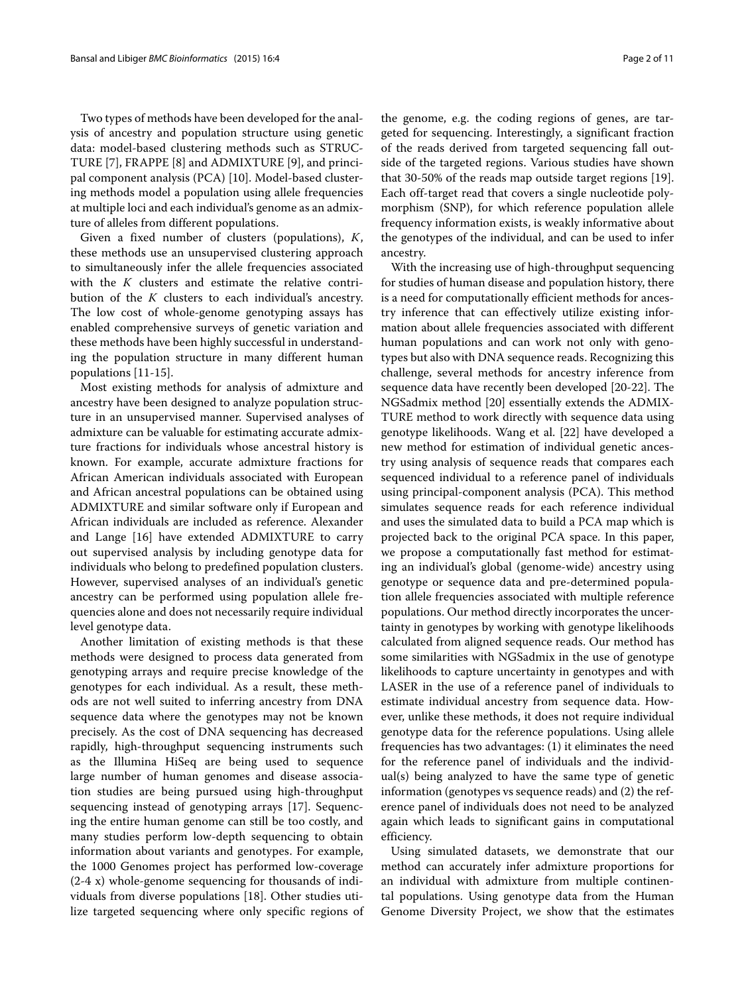Two types of methods have been developed for the analysis of ancestry and population structure using genetic data: model-based clustering methods such as STRUC-TURE [\[7\]](#page-9-6), FRAPPE [\[8\]](#page-9-7) and ADMIXTURE [\[9\]](#page-9-8), and principal component analysis (PCA) [\[10\]](#page-9-9). Model-based clustering methods model a population using allele frequencies at multiple loci and each individual's genome as an admixture of alleles from different populations.

Given a fixed number of clusters (populations), *K*, these methods use an unsupervised clustering approach to simultaneously infer the allele frequencies associated with the *K* clusters and estimate the relative contribution of the *K* clusters to each individual's ancestry. The low cost of whole-genome genotyping assays has enabled comprehensive surveys of genetic variation and these methods have been highly successful in understanding the population structure in many different human populations [\[11-](#page-9-10)[15\]](#page-9-11).

Most existing methods for analysis of admixture and ancestry have been designed to analyze population structure in an unsupervised manner. Supervised analyses of admixture can be valuable for estimating accurate admixture fractions for individuals whose ancestral history is known. For example, accurate admixture fractions for African American individuals associated with European and African ancestral populations can be obtained using ADMIXTURE and similar software only if European and African individuals are included as reference. Alexander and Lange [\[16\]](#page-9-12) have extended ADMIXTURE to carry out supervised analysis by including genotype data for individuals who belong to predefined population clusters. However, supervised analyses of an individual's genetic ancestry can be performed using population allele frequencies alone and does not necessarily require individual level genotype data.

Another limitation of existing methods is that these methods were designed to process data generated from genotyping arrays and require precise knowledge of the genotypes for each individual. As a result, these methods are not well suited to inferring ancestry from DNA sequence data where the genotypes may not be known precisely. As the cost of DNA sequencing has decreased rapidly, high-throughput sequencing instruments such as the Illumina HiSeq are being used to sequence large number of human genomes and disease association studies are being pursued using high-throughput sequencing instead of genotyping arrays [\[17\]](#page-9-13). Sequencing the entire human genome can still be too costly, and many studies perform low-depth sequencing to obtain information about variants and genotypes. For example, the 1000 Genomes project has performed low-coverage (2-4 x) whole-genome sequencing for thousands of individuals from diverse populations [\[18\]](#page-9-14). Other studies utilize targeted sequencing where only specific regions of the genome, e.g. the coding regions of genes, are targeted for sequencing. Interestingly, a significant fraction of the reads derived from targeted sequencing fall outside of the targeted regions. Various studies have shown that 30-50% of the reads map outside target regions [\[19\]](#page-9-15). Each off-target read that covers a single nucleotide polymorphism (SNP), for which reference population allele frequency information exists, is weakly informative about the genotypes of the individual, and can be used to infer ancestry.

With the increasing use of high-throughput sequencing for studies of human disease and population history, there is a need for computationally efficient methods for ancestry inference that can effectively utilize existing information about allele frequencies associated with different human populations and can work not only with genotypes but also with DNA sequence reads. Recognizing this challenge, several methods for ancestry inference from sequence data have recently been developed [\[20](#page-9-16)[-22\]](#page-9-17). The NGSadmix method [\[20\]](#page-9-16) essentially extends the ADMIX-TURE method to work directly with sequence data using genotype likelihoods. Wang et al. [\[22\]](#page-9-17) have developed a new method for estimation of individual genetic ancestry using analysis of sequence reads that compares each sequenced individual to a reference panel of individuals using principal-component analysis (PCA). This method simulates sequence reads for each reference individual and uses the simulated data to build a PCA map which is projected back to the original PCA space. In this paper, we propose a computationally fast method for estimating an individual's global (genome-wide) ancestry using genotype or sequence data and pre-determined population allele frequencies associated with multiple reference populations. Our method directly incorporates the uncertainty in genotypes by working with genotype likelihoods calculated from aligned sequence reads. Our method has some similarities with NGSadmix in the use of genotype likelihoods to capture uncertainty in genotypes and with LASER in the use of a reference panel of individuals to estimate individual ancestry from sequence data. However, unlike these methods, it does not require individual genotype data for the reference populations. Using allele frequencies has two advantages: (1) it eliminates the need for the reference panel of individuals and the individual(s) being analyzed to have the same type of genetic information (genotypes vs sequence reads) and (2) the reference panel of individuals does not need to be analyzed again which leads to significant gains in computational efficiency.

Using simulated datasets, we demonstrate that our method can accurately infer admixture proportions for an individual with admixture from multiple continental populations. Using genotype data from the Human Genome Diversity Project, we show that the estimates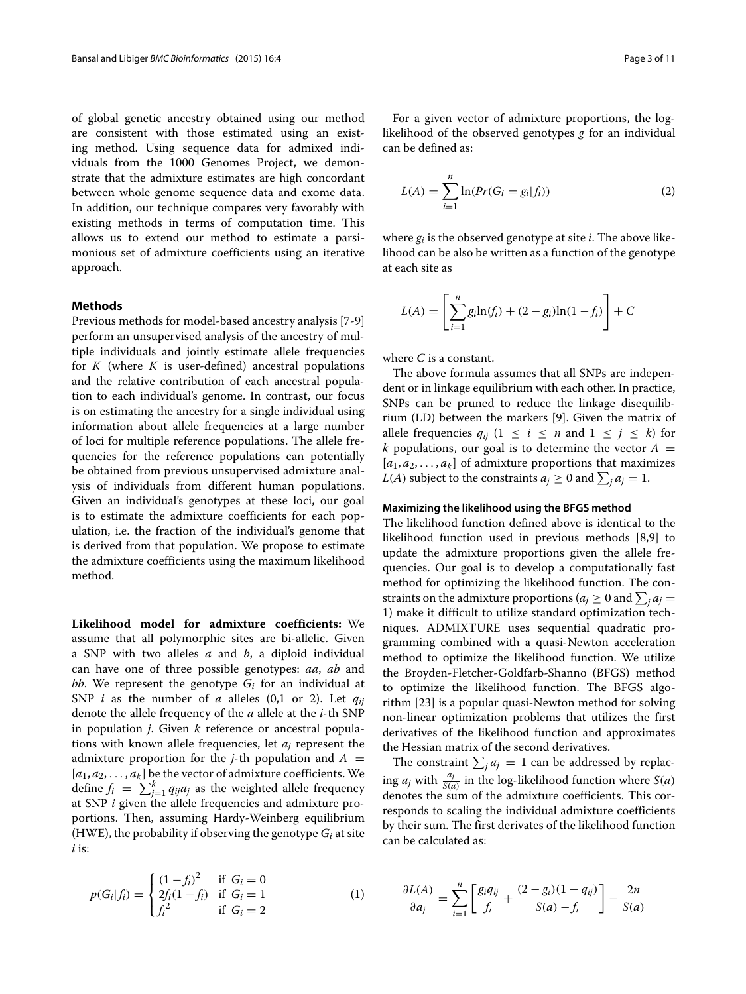of global genetic ancestry obtained using our method are consistent with those estimated using an existing method. Using sequence data for admixed individuals from the 1000 Genomes Project, we demonstrate that the admixture estimates are high concordant between whole genome sequence data and exome data. In addition, our technique compares very favorably with existing methods in terms of computation time. This allows us to extend our method to estimate a parsimonious set of admixture coefficients using an iterative approach.

## **Methods**

Previous methods for model-based ancestry analysis [\[7](#page-9-6)[-9\]](#page-9-8) perform an unsupervised analysis of the ancestry of multiple individuals and jointly estimate allele frequencies for *K* (where *K* is user-defined) ancestral populations and the relative contribution of each ancestral population to each individual's genome. In contrast, our focus is on estimating the ancestry for a single individual using information about allele frequencies at a large number of loci for multiple reference populations. The allele frequencies for the reference populations can potentially be obtained from previous unsupervised admixture analysis of individuals from different human populations. Given an individual's genotypes at these loci, our goal is to estimate the admixture coefficients for each population, i.e. the fraction of the individual's genome that is derived from that population. We propose to estimate the admixture coefficients using the maximum likelihood method.

**Likelihood model for admixture coefficients:** We assume that all polymorphic sites are bi-allelic. Given a SNP with two alleles *a* and *b*, a diploid individual can have one of three possible genotypes: *aa*, *ab* and *bb*. We represent the genotype *Gi* for an individual at SNP *i* as the number of *a* alleles (0,1 or 2). Let *qij* denote the allele frequency of the *a* allele at the *i*-th SNP in population *j*. Given *k* reference or ancestral populations with known allele frequencies, let *aj* represent the admixture proportion for the *j*-th population and  $A =$  $[a_1, a_2, \ldots, a_k]$  be the vector of admixture coefficients. We define  $f_i = \sum_{j=1}^{k} q_{ij} a_j$  as the weighted allele frequency at SNP *i* given the allele frequencies and admixture proportions. Then, assuming Hardy-Weinberg equilibrium (HWE), the probability if observing the genotype  $G_i$  at site *i* is:

<span id="page-2-0"></span>
$$
p(G_i|f_i) = \begin{cases} (1-f_i)^2 & \text{if } G_i = 0\\ 2f_i(1-f_i) & \text{if } G_i = 1\\ f_i^2 & \text{if } G_i = 2 \end{cases}
$$
 (1)

For a given vector of admixture proportions, the loglikelihood of the observed genotypes *g* for an individual can be defined as:

$$
L(A) = \sum_{i=1}^{n} \ln(Pr(G_i = g_i | f_i))
$$
 (2)

where *gi* is the observed genotype at site *i*. The above likelihood can be also be written as a function of the genotype at each site as

$$
L(A) = \left[ \sum_{i=1}^{n} g_i \ln(f_i) + (2 - g_i) \ln(1 - f_i) \right] + C
$$

where *C* is a constant.

The above formula assumes that all SNPs are independent or in linkage equilibrium with each other. In practice, SNPs can be pruned to reduce the linkage disequilibrium (LD) between the markers [\[9\]](#page-9-8). Given the matrix of allele frequencies  $q_{ij}$   $(1 \le i \le n$  and  $1 \le j \le k)$  for *k* populations, our goal is to determine the vector  $A =$  $[a_1, a_2, \ldots, a_k]$  of admixture proportions that maximizes  $L(A)$  subject to the constraints  $a_j \geq 0$  and  $\sum_j a_j = 1$ .

#### **Maximizing the likelihood using the BFGS method**

The likelihood function defined above is identical to the likelihood function used in previous methods [\[8,](#page-9-7)[9\]](#page-9-8) to update the admixture proportions given the allele frequencies. Our goal is to develop a computationally fast method for optimizing the likelihood function. The constraints on the admixture proportions ( $a_j \geq 0$  and  $\sum_j a_j = 0$ 1) make it difficult to utilize standard optimization techniques. ADMIXTURE uses sequential quadratic programming combined with a quasi-Newton acceleration method to optimize the likelihood function. We utilize the Broyden-Fletcher-Goldfarb-Shanno (BFGS) method to optimize the likelihood function. The BFGS algorithm [\[23\]](#page-9-18) is a popular quasi-Newton method for solving non-linear optimization problems that utilizes the first derivatives of the likelihood function and approximates the Hessian matrix of the second derivatives.

The constraint  $\sum_{j} a_{j} = 1$  can be addressed by replacing  $a_j$  with  $\frac{a_j}{S(a)}$  in the log-likelihood function where  $S(a)$ denotes the sum of the admixture coefficients. This corresponds to scaling the individual admixture coefficients by their sum. The first derivates of the likelihood function can be calculated as:

$$
\frac{\partial L(A)}{\partial a_j} = \sum_{i=1}^n \left[ \frac{g_i q_{ij}}{f_i} + \frac{(2 - g_i)(1 - q_{ij})}{S(a) - f_i} \right] - \frac{2n}{S(a)}
$$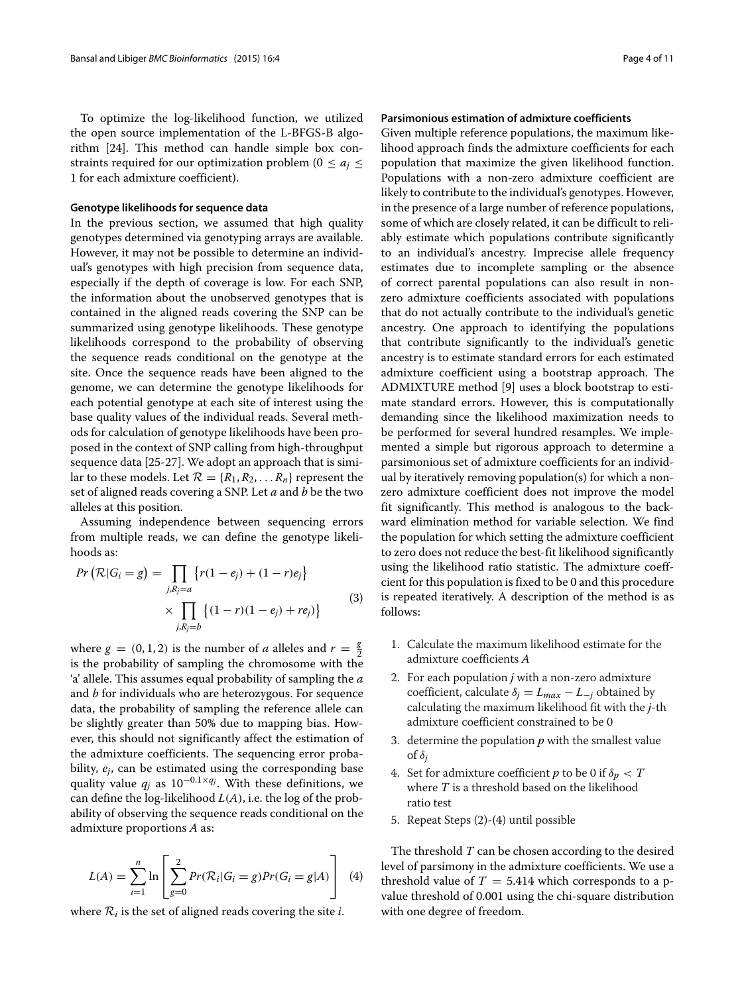To optimize the log-likelihood function, we utilized the open source implementation of the L-BFGS-B algorithm [\[24\]](#page-9-19). This method can handle simple box constraints required for our optimization problem ( $0 \le a_i \le$ 1 for each admixture coefficient).

#### **Genotype likelihoods for sequence data**

In the previous section, we assumed that high quality genotypes determined via genotyping arrays are available. However, it may not be possible to determine an individual's genotypes with high precision from sequence data, especially if the depth of coverage is low. For each SNP, the information about the unobserved genotypes that is contained in the aligned reads covering the SNP can be summarized using genotype likelihoods. These genotype likelihoods correspond to the probability of observing the sequence reads conditional on the genotype at the site. Once the sequence reads have been aligned to the genome, we can determine the genotype likelihoods for each potential genotype at each site of interest using the base quality values of the individual reads. Several methods for calculation of genotype likelihoods have been proposed in the context of SNP calling from high-throughput sequence data [\[25](#page-9-20)[-27\]](#page-9-21). We adopt an approach that is similar to these models. Let  $\mathcal{R} = \{R_1, R_2, \dots R_n\}$  represent the set of aligned reads covering a SNP. Let *a* and *b* be the two alleles at this position.

Assuming independence between sequencing errors from multiple reads, we can define the genotype likelihoods as:

$$
Pr(R|G_i = g) = \prod_{j,R_j=a} \{r(1-e_j) + (1-r)e_j\} \times \prod_{j,R_j=b} \{(1-r)(1-e_j) + re_j)\}
$$
(3)

where  $g = (0, 1, 2)$  is the number of *a* alleles and  $r = \frac{g}{2}$ is the probability of sampling the chromosome with the 'a' allele. This assumes equal probability of sampling the *a* and *b* for individuals who are heterozygous. For sequence data, the probability of sampling the reference allele can be slightly greater than 50% due to mapping bias. However, this should not significantly affect the estimation of the admixture coefficients. The sequencing error probability, *ej*, can be estimated using the corresponding base quality value  $q_i$  as  $10^{-0.1 \times q_j}$ . With these definitions, we can define the log-likelihood *L*(*A*), i.e. the log of the probability of observing the sequence reads conditional on the admixture proportions *A* as:

<span id="page-3-0"></span>
$$
L(A) = \sum_{i=1}^{n} \ln \left[ \sum_{g=0}^{2} Pr(R_i | G_i = g) Pr(G_i = g | A) \right]
$$
 (4)

where  $\mathcal{R}_i$  is the set of aligned reads covering the site *i*.

#### **Parsimonious estimation of admixture coefficients**

Given multiple reference populations, the maximum likelihood approach finds the admixture coefficients for each population that maximize the given likelihood function. Populations with a non-zero admixture coefficient are likely to contribute to the individual's genotypes. However, in the presence of a large number of reference populations, some of which are closely related, it can be difficult to reliably estimate which populations contribute significantly to an individual's ancestry. Imprecise allele frequency estimates due to incomplete sampling or the absence of correct parental populations can also result in nonzero admixture coefficients associated with populations that do not actually contribute to the individual's genetic ancestry. One approach to identifying the populations that contribute significantly to the individual's genetic ancestry is to estimate standard errors for each estimated admixture coefficient using a bootstrap approach. The ADMIXTURE method [\[9\]](#page-9-8) uses a block bootstrap to estimate standard errors. However, this is computationally demanding since the likelihood maximization needs to be performed for several hundred resamples. We implemented a simple but rigorous approach to determine a parsimonious set of admixture coefficients for an individual by iteratively removing population(s) for which a nonzero admixture coefficient does not improve the model fit significantly. This method is analogous to the backward elimination method for variable selection. We find the population for which setting the admixture coefficient to zero does not reduce the best-fit likelihood significantly using the likelihood ratio statistic. The admixture coeffcient for this population is fixed to be 0 and this procedure is repeated iteratively. A description of the method is as follows:

- 1. Calculate the maximum likelihood estimate for the admixture coefficients *A*
- 2. For each population *j* with a non-zero admixture coefficient, calculate  $\delta$ <sup>*j*</sup> =  $L_{max} - L_{-j}$  obtained by calculating the maximum likelihood fit with the *j*-th admixture coefficient constrained to be 0
- 3. determine the population *p* with the smallest value of δ*<sup>j</sup>*
- 4. Set for admixture coefficient *p* to be 0 if  $\delta_p < T$ where *T* is a threshold based on the likelihood ratio test
- 5. Repeat Steps (2)-(4) until possible

The threshold *T* can be chosen according to the desired level of parsimony in the admixture coefficients. We use a threshold value of  $T = 5.414$  which corresponds to a pvalue threshold of 0.001 using the chi-square distribution with one degree of freedom.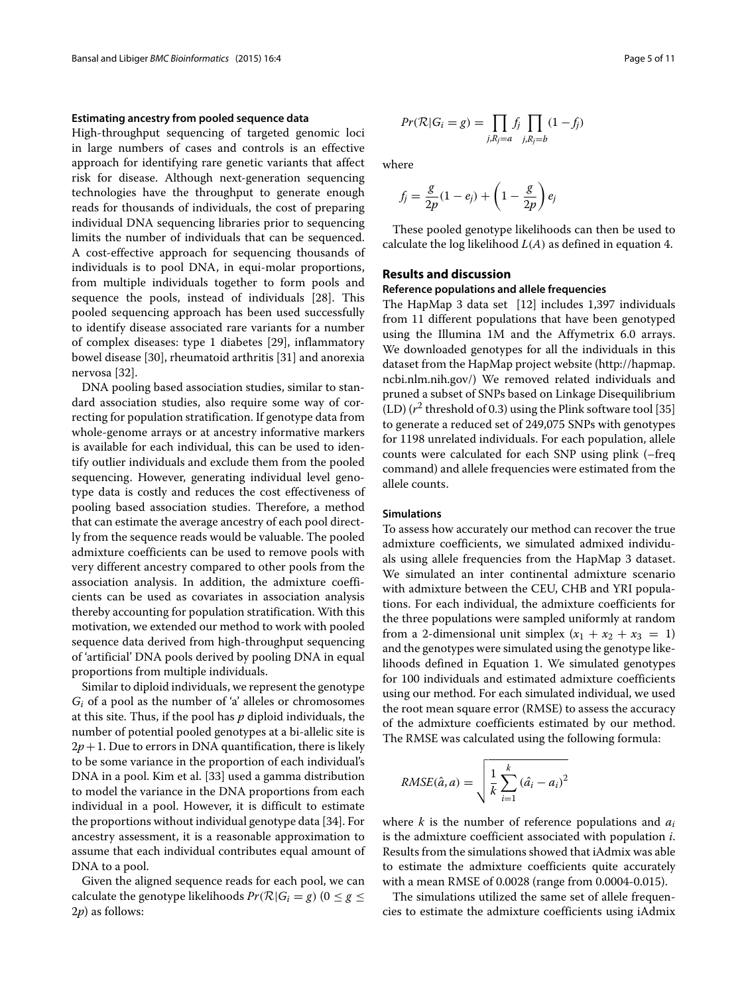#### **Estimating ancestry from pooled sequence data**

High-throughput sequencing of targeted genomic loci in large numbers of cases and controls is an effective approach for identifying rare genetic variants that affect risk for disease. Although next-generation sequencing technologies have the throughput to generate enough reads for thousands of individuals, the cost of preparing individual DNA sequencing libraries prior to sequencing limits the number of individuals that can be sequenced. A cost-effective approach for sequencing thousands of individuals is to pool DNA, in equi-molar proportions, from multiple individuals together to form pools and sequence the pools, instead of individuals [\[28\]](#page-9-22). This pooled sequencing approach has been used successfully to identify disease associated rare variants for a number of complex diseases: type 1 diabetes [\[29\]](#page-9-23), inflammatory bowel disease [\[30\]](#page-9-24), rheumatoid arthritis [\[31\]](#page-9-25) and anorexia nervosa [\[32\]](#page-9-26).

DNA pooling based association studies, similar to standard association studies, also require some way of correcting for population stratification. If genotype data from whole-genome arrays or at ancestry informative markers is available for each individual, this can be used to identify outlier individuals and exclude them from the pooled sequencing. However, generating individual level genotype data is costly and reduces the cost effectiveness of pooling based association studies. Therefore, a method that can estimate the average ancestry of each pool directly from the sequence reads would be valuable. The pooled admixture coefficients can be used to remove pools with very different ancestry compared to other pools from the association analysis. In addition, the admixture coefficients can be used as covariates in association analysis thereby accounting for population stratification. With this motivation, we extended our method to work with pooled sequence data derived from high-throughput sequencing of 'artificial' DNA pools derived by pooling DNA in equal proportions from multiple individuals.

Similar to diploid individuals, we represent the genotype *Gi* of a pool as the number of 'a' alleles or chromosomes at this site. Thus, if the pool has *p* diploid individuals, the number of potential pooled genotypes at a bi-allelic site is  $2p+1$ . Due to errors in DNA quantification, there is likely to be some variance in the proportion of each individual's DNA in a pool. Kim et al. [\[33\]](#page-9-27) used a gamma distribution to model the variance in the DNA proportions from each individual in a pool. However, it is difficult to estimate the proportions without individual genotype data [\[34\]](#page-9-28). For ancestry assessment, it is a reasonable approximation to assume that each individual contributes equal amount of DNA to a pool.

Given the aligned sequence reads for each pool, we can calculate the genotype likelihoods  $Pr(\mathcal{R}|G_i = g)$  ( $0 \leq g \leq$ 2*p*) as follows:

$$
Pr(R|G_i = g) = \prod_{j,R_j=a} f_j \prod_{j,R_j=b} (1 - f_j)
$$

where

$$
f_j = \frac{g}{2p}(1-e_j) + \left(1 - \frac{g}{2p}\right)e_j
$$

These pooled genotype likelihoods can then be used to calculate the log likelihood *L*(*A*) as defined in equation [4.](#page-3-0)

## **Results and discussion**

#### **Reference populations and allele frequencies**

The HapMap 3 data set [\[12\]](#page-9-29) includes 1,397 individuals from 11 different populations that have been genotyped using the Illumina 1M and the Affymetrix 6.0 arrays. We downloaded genotypes for all the individuals in this dataset from the HapMap project website [\(http://hapmap.](http://hapmap.ncbi.nlm.nih.gov/) [ncbi.nlm.nih.gov/\)](http://hapmap.ncbi.nlm.nih.gov/) We removed related individuals and pruned a subset of SNPs based on Linkage Disequilibrium (LD) (*r*<sup>2</sup> threshold of 0.3) using the Plink software tool [\[35\]](#page-9-30) to generate a reduced set of 249,075 SNPs with genotypes for 1198 unrelated individuals. For each population, allele counts were calculated for each SNP using plink (–freq command) and allele frequencies were estimated from the allele counts.

### **Simulations**

To assess how accurately our method can recover the true admixture coefficients, we simulated admixed individuals using allele frequencies from the HapMap 3 dataset. We simulated an inter continental admixture scenario with admixture between the CEU, CHB and YRI populations. For each individual, the admixture coefficients for the three populations were sampled uniformly at random from a 2-dimensional unit simplex  $(x_1 + x_2 + x_3 = 1)$ and the genotypes were simulated using the genotype likelihoods defined in Equation [1.](#page-2-0) We simulated genotypes for 100 individuals and estimated admixture coefficients using our method. For each simulated individual, we used the root mean square error (RMSE) to assess the accuracy of the admixture coefficients estimated by our method. The RMSE was calculated using the following formula:

$$
RMSE(\hat{a}, a) = \sqrt{\frac{1}{k} \sum_{i=1}^{k} (\hat{a}_i - a_i)^2}
$$

where *k* is the number of reference populations and *ai* is the admixture coefficient associated with population *i*. Results from the simulations showed that iAdmix was able to estimate the admixture coefficients quite accurately with a mean RMSE of 0.0028 (range from 0.0004-0.015).

The simulations utilized the same set of allele frequencies to estimate the admixture coefficients using iAdmix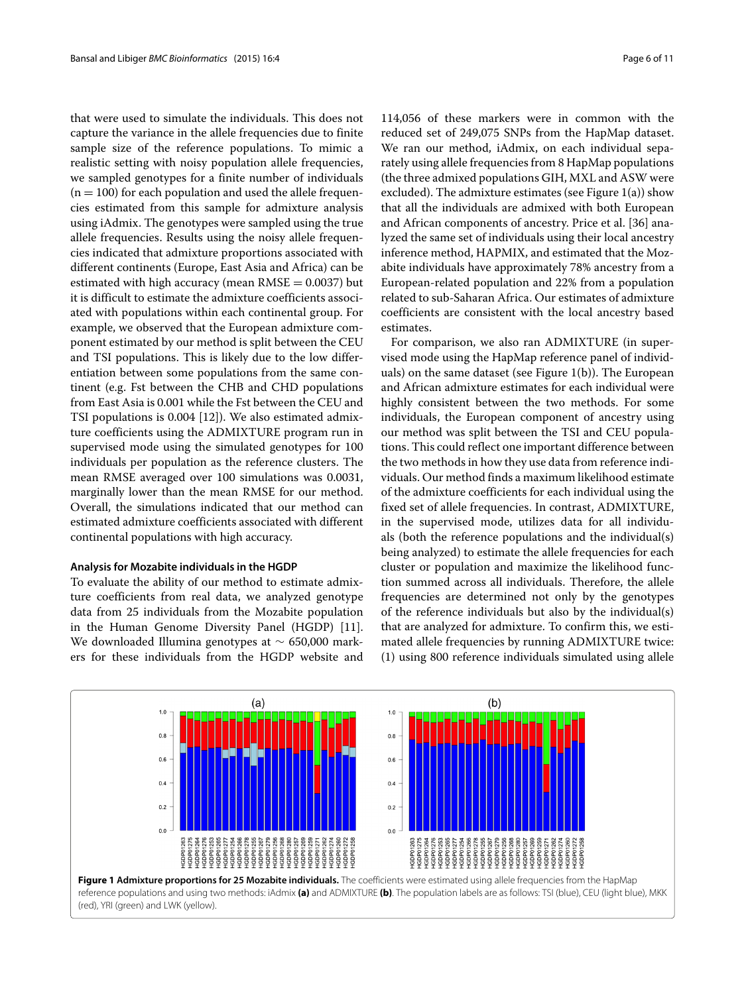that were used to simulate the individuals. This does not capture the variance in the allele frequencies due to finite sample size of the reference populations. To mimic a realistic setting with noisy population allele frequencies, we sampled genotypes for a finite number of individuals  $(n = 100)$  for each population and used the allele frequencies estimated from this sample for admixture analysis using iAdmix. The genotypes were sampled using the true allele frequencies. Results using the noisy allele frequencies indicated that admixture proportions associated with different continents (Europe, East Asia and Africa) can be estimated with high accuracy (mean  $RMSE = 0.0037$ ) but it is difficult to estimate the admixture coefficients associated with populations within each continental group. For example, we observed that the European admixture component estimated by our method is split between the CEU and TSI populations. This is likely due to the low differentiation between some populations from the same continent (e.g. Fst between the CHB and CHD populations from East Asia is 0.001 while the Fst between the CEU and TSI populations is 0.004 [\[12\]](#page-9-29)). We also estimated admixture coefficients using the ADMIXTURE program run in supervised mode using the simulated genotypes for 100 individuals per population as the reference clusters. The mean RMSE averaged over 100 simulations was 0.0031, marginally lower than the mean RMSE for our method. Overall, the simulations indicated that our method can estimated admixture coefficients associated with different continental populations with high accuracy.

#### **Analysis for Mozabite individuals in the HGDP**

To evaluate the ability of our method to estimate admixture coefficients from real data, we analyzed genotype data from 25 individuals from the Mozabite population in the Human Genome Diversity Panel (HGDP) [\[11\]](#page-9-10). We downloaded Illumina genotypes at ∼ 650,000 markers for these individuals from the HGDP website and

114,056 of these markers were in common with the reduced set of 249,075 SNPs from the HapMap dataset. We ran our method, iAdmix, on each individual separately using allele frequencies from 8 HapMap populations (the three admixed populations GIH, MXL and ASW were excluded). The admixture estimates (see Figure [1\(](#page-5-0)a)) show that all the individuals are admixed with both European and African components of ancestry. Price et al. [\[36\]](#page-9-31) analyzed the same set of individuals using their local ancestry inference method, HAPMIX, and estimated that the Mozabite individuals have approximately 78% ancestry from a European-related population and 22% from a population related to sub-Saharan Africa. Our estimates of admixture coefficients are consistent with the local ancestry based estimates.

For comparison, we also ran ADMIXTURE (in supervised mode using the HapMap reference panel of individuals) on the same dataset (see Figure [1\(](#page-5-0)b)). The European and African admixture estimates for each individual were highly consistent between the two methods. For some individuals, the European component of ancestry using our method was split between the TSI and CEU populations. This could reflect one important difference between the two methods in how they use data from reference individuals. Our method finds a maximum likelihood estimate of the admixture coefficients for each individual using the fixed set of allele frequencies. In contrast, ADMIXTURE, in the supervised mode, utilizes data for all individuals (both the reference populations and the individual(s) being analyzed) to estimate the allele frequencies for each cluster or population and maximize the likelihood function summed across all individuals. Therefore, the allele frequencies are determined not only by the genotypes of the reference individuals but also by the individual(s) that are analyzed for admixture. To confirm this, we estimated allele frequencies by running ADMIXTURE twice: (1) using 800 reference individuals simulated using allele

<span id="page-5-0"></span>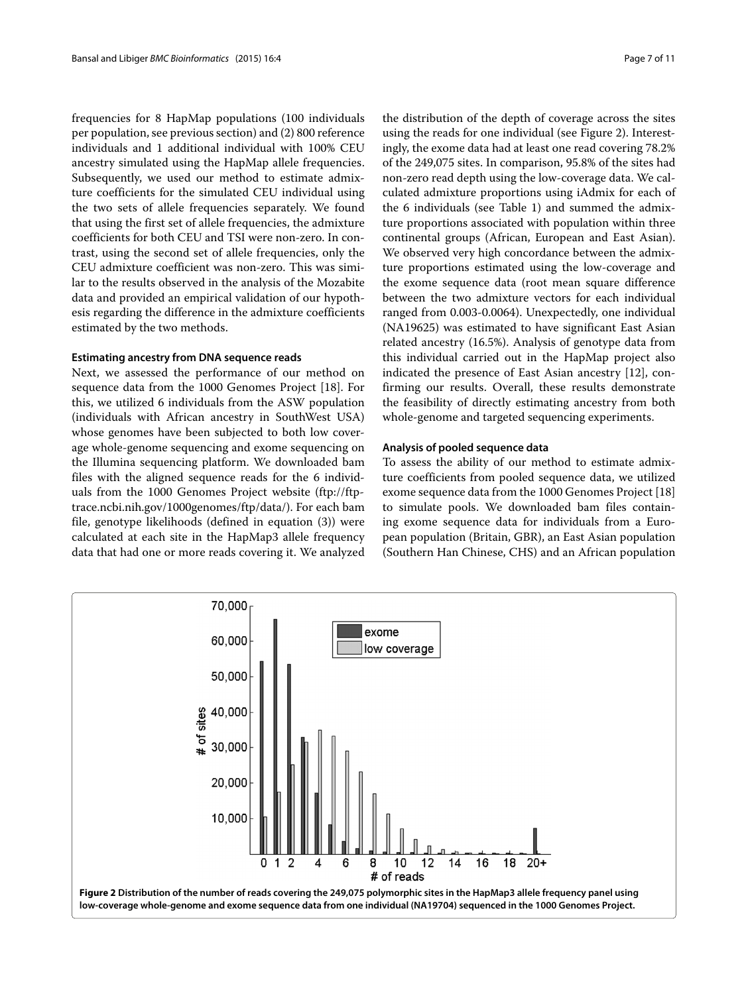frequencies for 8 HapMap populations (100 individuals per population, see previous section) and (2) 800 reference individuals and 1 additional individual with 100% CEU ancestry simulated using the HapMap allele frequencies. Subsequently, we used our method to estimate admixture coefficients for the simulated CEU individual using the two sets of allele frequencies separately. We found that using the first set of allele frequencies, the admixture coefficients for both CEU and TSI were non-zero. In contrast, using the second set of allele frequencies, only the CEU admixture coefficient was non-zero. This was similar to the results observed in the analysis of the Mozabite data and provided an empirical validation of our hypothesis regarding the difference in the admixture coefficients estimated by the two methods.

## **Estimating ancestry from DNA sequence reads**

Next, we assessed the performance of our method on sequence data from the 1000 Genomes Project [\[18\]](#page-9-14). For this, we utilized 6 individuals from the ASW population (individuals with African ancestry in SouthWest USA) whose genomes have been subjected to both low coverage whole-genome sequencing and exome sequencing on the Illumina sequencing platform. We downloaded bam files with the aligned sequence reads for the 6 individuals from the 1000 Genomes Project website [\(ftp://ftp](ftp://ftp-trace.ncbi.nih.gov/1000genomes/ftp/data/)[trace.ncbi.nih.gov/1000genomes/ftp/data/\)](ftp://ftp-trace.ncbi.nih.gov/1000genomes/ftp/data/). For each bam file, genotype likelihoods (defined in equation (3)) were calculated at each site in the HapMap3 allele frequency data that had one or more reads covering it. We analyzed the distribution of the depth of coverage across the sites using the reads for one individual (see Figure [2\)](#page-6-0). Interestingly, the exome data had at least one read covering 78.2% of the 249,075 sites. In comparison, 95.8% of the sites had non-zero read depth using the low-coverage data. We calculated admixture proportions using iAdmix for each of the 6 individuals (see Table [1\)](#page-7-0) and summed the admixture proportions associated with population within three continental groups (African, European and East Asian). We observed very high concordance between the admixture proportions estimated using the low-coverage and the exome sequence data (root mean square difference between the two admixture vectors for each individual ranged from 0.003-0.0064). Unexpectedly, one individual (NA19625) was estimated to have significant East Asian related ancestry (16.5%). Analysis of genotype data from this individual carried out in the HapMap project also indicated the presence of East Asian ancestry [\[12\]](#page-9-29), confirming our results. Overall, these results demonstrate the feasibility of directly estimating ancestry from both whole-genome and targeted sequencing experiments.

#### **Analysis of pooled sequence data**

To assess the ability of our method to estimate admixture coefficients from pooled sequence data, we utilized exome sequence data from the 1000 Genomes Project [\[18\]](#page-9-14) to simulate pools. We downloaded bam files containing exome sequence data for individuals from a European population (Britain, GBR), an East Asian population (Southern Han Chinese, CHS) and an African population

<span id="page-6-0"></span>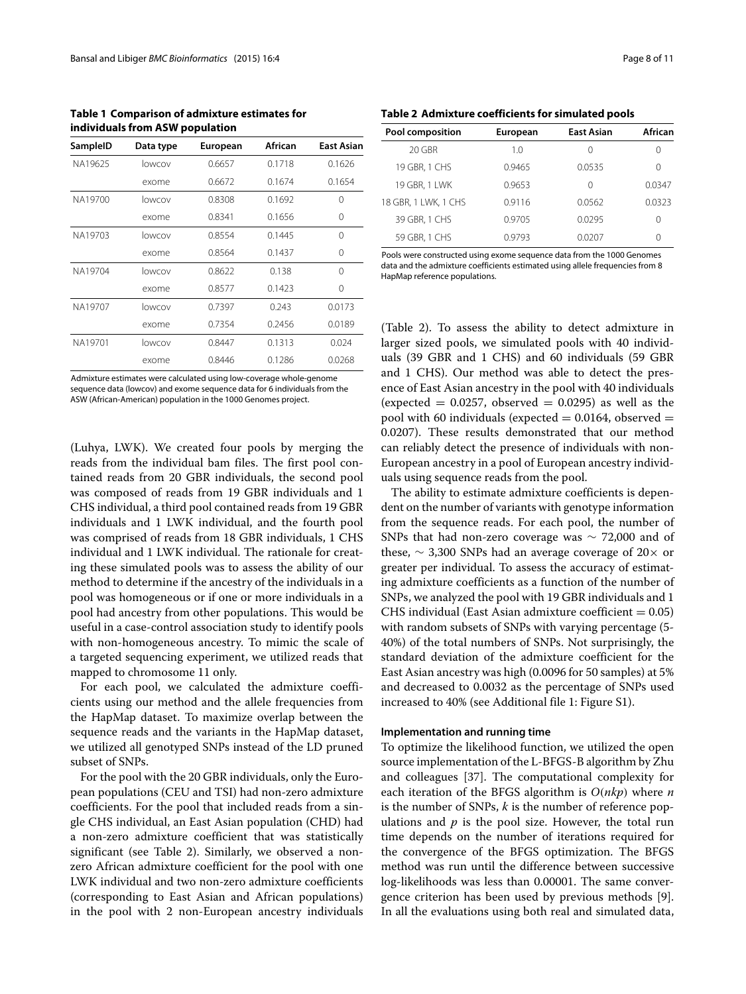<span id="page-7-0"></span>**Table 1 Comparison of admixture estimates for individuals from ASW population**

| SampleID | Data type | European | African | <b>East Asian</b> |
|----------|-----------|----------|---------|-------------------|
| NA19625  | lowcov    | 0.6657   | 0.1718  | 0.1626            |
|          | exome     | 0.6672   | 0.1674  | 0.1654            |
| NA19700  | lowcov    | 0.8308   | 0.1692  | 0                 |
|          | exome     | 0.8341   | 0.1656  | 0                 |
| NA19703  | lowcov    | 0.8554   | 0.1445  | $\Omega$          |
|          | exome     | 0.8564   | 0.1437  | 0                 |
| NA19704  | lowcov    | 0.8622   | 0.138   | $\cap$            |
|          | exome     | 0.8577   | 0.1423  | $\Omega$          |
| NA19707  | lowcov    | 0.7397   | 0.243   | 0.0173            |
|          | exome     | 0.7354   | 0.2456  | 0.0189            |
| NA19701  | lowcov    | 0.8447   | 0.1313  | 0.024             |
|          | exome     | 0.8446   | 0.1286  | 0.0268            |

Admixture estimates were calculated using low-coverage whole-genome sequence data (lowcov) and exome sequence data for 6 individuals from the ASW (African-American) population in the 1000 Genomes project.

(Luhya, LWK). We created four pools by merging the reads from the individual bam files. The first pool contained reads from 20 GBR individuals, the second pool was composed of reads from 19 GBR individuals and 1 CHS individual, a third pool contained reads from 19 GBR individuals and 1 LWK individual, and the fourth pool was comprised of reads from 18 GBR individuals, 1 CHS individual and 1 LWK individual. The rationale for creating these simulated pools was to assess the ability of our method to determine if the ancestry of the individuals in a pool was homogeneous or if one or more individuals in a pool had ancestry from other populations. This would be useful in a case-control association study to identify pools with non-homogeneous ancestry. To mimic the scale of a targeted sequencing experiment, we utilized reads that mapped to chromosome 11 only.

For each pool, we calculated the admixture coefficients using our method and the allele frequencies from the HapMap dataset. To maximize overlap between the sequence reads and the variants in the HapMap dataset, we utilized all genotyped SNPs instead of the LD pruned subset of SNPs.

For the pool with the 20 GBR individuals, only the European populations (CEU and TSI) had non-zero admixture coefficients. For the pool that included reads from a single CHS individual, an East Asian population (CHD) had a non-zero admixture coefficient that was statistically significant (see Table [2\)](#page-7-1). Similarly, we observed a nonzero African admixture coefficient for the pool with one LWK individual and two non-zero admixture coefficients (corresponding to East Asian and African populations) in the pool with 2 non-European ancestry individuals

**Table 2 Admixture coefficients for simulated pools**

<span id="page-7-1"></span>

| Pool composition     | European | <b>East Asian</b> | African          |
|----------------------|----------|-------------------|------------------|
| 20 GBR               | 1.0      | $\left( \right)$  | $\left( \right)$ |
| 19 GBR, 1 CHS        | 0.9465   | 0.0535            | 0                |
| 19 GBR, 1 LWK        | 0.9653   | ∩                 | 0.0347           |
| 18 GBR, 1 LWK, 1 CHS | 0.9116   | 0.0562            | 0.0323           |
| 39 GBR. 1 CHS        | 0.9705   | 0.0295            | 0                |
| 59 GBR, 1 CHS        | 0.9793   | 0.0207            | $\left($         |
|                      |          |                   |                  |

Pools were constructed using exome sequence data from the 1000 Genomes data and the admixture coefficients estimated using allele frequencies from 8 HapMap reference populations.

(Table [2\)](#page-7-1). To assess the ability to detect admixture in larger sized pools, we simulated pools with 40 individuals (39 GBR and 1 CHS) and 60 individuals (59 GBR and 1 CHS). Our method was able to detect the presence of East Asian ancestry in the pool with 40 individuals (expected  $= 0.0257$ , observed  $= 0.0295$ ) as well as the pool with 60 individuals (expected  $= 0.0164$ , observed  $=$ 0.0207). These results demonstrated that our method can reliably detect the presence of individuals with non-European ancestry in a pool of European ancestry individuals using sequence reads from the pool.

The ability to estimate admixture coefficients is dependent on the number of variants with genotype information from the sequence reads. For each pool, the number of SNPs that had non-zero coverage was ∼ 72,000 and of these,  $\sim$  3,300 SNPs had an average coverage of 20 $\times$  or greater per individual. To assess the accuracy of estimating admixture coefficients as a function of the number of SNPs, we analyzed the pool with 19 GBR individuals and 1 CHS individual (East Asian admixture coefficient  $= 0.05$ ) with random subsets of SNPs with varying percentage (5- 40%) of the total numbers of SNPs. Not surprisingly, the standard deviation of the admixture coefficient for the East Asian ancestry was high (0.0096 for 50 samples) at 5% and decreased to 0.0032 as the percentage of SNPs used increased to 40% (see Additional file [1:](#page-9-32) Figure S1).

#### **Implementation and running time**

To optimize the likelihood function, we utilized the open source implementation of the L-BFGS-B algorithm by Zhu and colleagues [\[37\]](#page-9-33). The computational complexity for each iteration of the BFGS algorithm is *O*(*nkp*) where *n* is the number of SNPs, *k* is the number of reference populations and  $p$  is the pool size. However, the total run time depends on the number of iterations required for the convergence of the BFGS optimization. The BFGS method was run until the difference between successive log-likelihoods was less than 0.00001. The same convergence criterion has been used by previous methods [\[9\]](#page-9-8). In all the evaluations using both real and simulated data,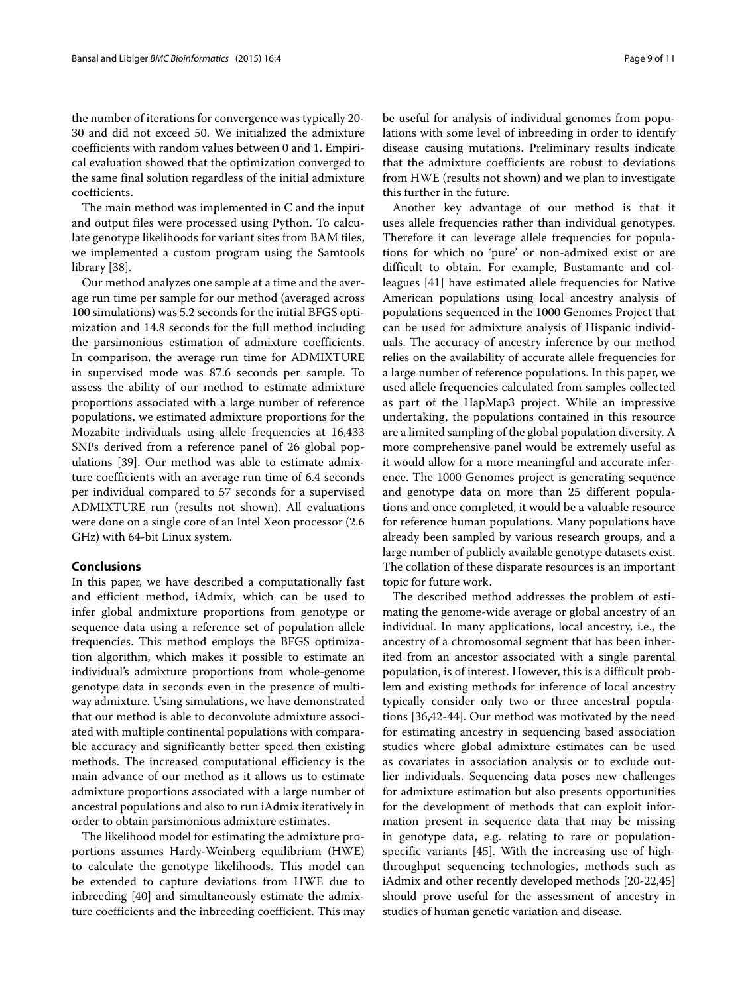the number of iterations for convergence was typically 20- 30 and did not exceed 50. We initialized the admixture coefficients with random values between 0 and 1. Empirical evaluation showed that the optimization converged to the same final solution regardless of the initial admixture coefficients.

The main method was implemented in C and the input and output files were processed using Python. To calculate genotype likelihoods for variant sites from BAM files, we implemented a custom program using the Samtools library [\[38\]](#page-9-34).

Our method analyzes one sample at a time and the average run time per sample for our method (averaged across 100 simulations) was 5.2 seconds for the initial BFGS optimization and 14.8 seconds for the full method including the parsimonious estimation of admixture coefficients. In comparison, the average run time for ADMIXTURE in supervised mode was 87.6 seconds per sample. To assess the ability of our method to estimate admixture proportions associated with a large number of reference populations, we estimated admixture proportions for the Mozabite individuals using allele frequencies at 16,433 SNPs derived from a reference panel of 26 global populations [\[39\]](#page-9-35). Our method was able to estimate admixture coefficients with an average run time of 6.4 seconds per individual compared to 57 seconds for a supervised ADMIXTURE run (results not shown). All evaluations were done on a single core of an Intel Xeon processor (2.6 GHz) with 64-bit Linux system.

#### **Conclusions**

In this paper, we have described a computationally fast and efficient method, iAdmix, which can be used to infer global andmixture proportions from genotype or sequence data using a reference set of population allele frequencies. This method employs the BFGS optimization algorithm, which makes it possible to estimate an individual's admixture proportions from whole-genome genotype data in seconds even in the presence of multiway admixture. Using simulations, we have demonstrated that our method is able to deconvolute admixture associated with multiple continental populations with comparable accuracy and significantly better speed then existing methods. The increased computational efficiency is the main advance of our method as it allows us to estimate admixture proportions associated with a large number of ancestral populations and also to run iAdmix iteratively in order to obtain parsimonious admixture estimates.

The likelihood model for estimating the admixture proportions assumes Hardy-Weinberg equilibrium (HWE) to calculate the genotype likelihoods. This model can be extended to capture deviations from HWE due to inbreeding [\[40\]](#page-10-0) and simultaneously estimate the admixture coefficients and the inbreeding coefficient. This may be useful for analysis of individual genomes from populations with some level of inbreeding in order to identify disease causing mutations. Preliminary results indicate that the admixture coefficients are robust to deviations from HWE (results not shown) and we plan to investigate this further in the future.

Another key advantage of our method is that it uses allele frequencies rather than individual genotypes. Therefore it can leverage allele frequencies for populations for which no 'pure' or non-admixed exist or are difficult to obtain. For example, Bustamante and colleagues [\[41\]](#page-10-1) have estimated allele frequencies for Native American populations using local ancestry analysis of populations sequenced in the 1000 Genomes Project that can be used for admixture analysis of Hispanic individuals. The accuracy of ancestry inference by our method relies on the availability of accurate allele frequencies for a large number of reference populations. In this paper, we used allele frequencies calculated from samples collected as part of the HapMap3 project. While an impressive undertaking, the populations contained in this resource are a limited sampling of the global population diversity. A more comprehensive panel would be extremely useful as it would allow for a more meaningful and accurate inference. The 1000 Genomes project is generating sequence and genotype data on more than 25 different populations and once completed, it would be a valuable resource for reference human populations. Many populations have already been sampled by various research groups, and a large number of publicly available genotype datasets exist. The collation of these disparate resources is an important topic for future work.

The described method addresses the problem of estimating the genome-wide average or global ancestry of an individual. In many applications, local ancestry, i.e., the ancestry of a chromosomal segment that has been inherited from an ancestor associated with a single parental population, is of interest. However, this is a difficult problem and existing methods for inference of local ancestry typically consider only two or three ancestral populations [\[36,](#page-9-31)[42](#page-10-2)[-44\]](#page-10-3). Our method was motivated by the need for estimating ancestry in sequencing based association studies where global admixture estimates can be used as covariates in association analysis or to exclude outlier individuals. Sequencing data poses new challenges for admixture estimation but also presents opportunities for the development of methods that can exploit information present in sequence data that may be missing in genotype data, e.g. relating to rare or populationspecific variants [\[45\]](#page-10-4). With the increasing use of highthroughput sequencing technologies, methods such as iAdmix and other recently developed methods [\[20-](#page-9-16)[22](#page-9-17)[,45\]](#page-10-4) should prove useful for the assessment of ancestry in studies of human genetic variation and disease.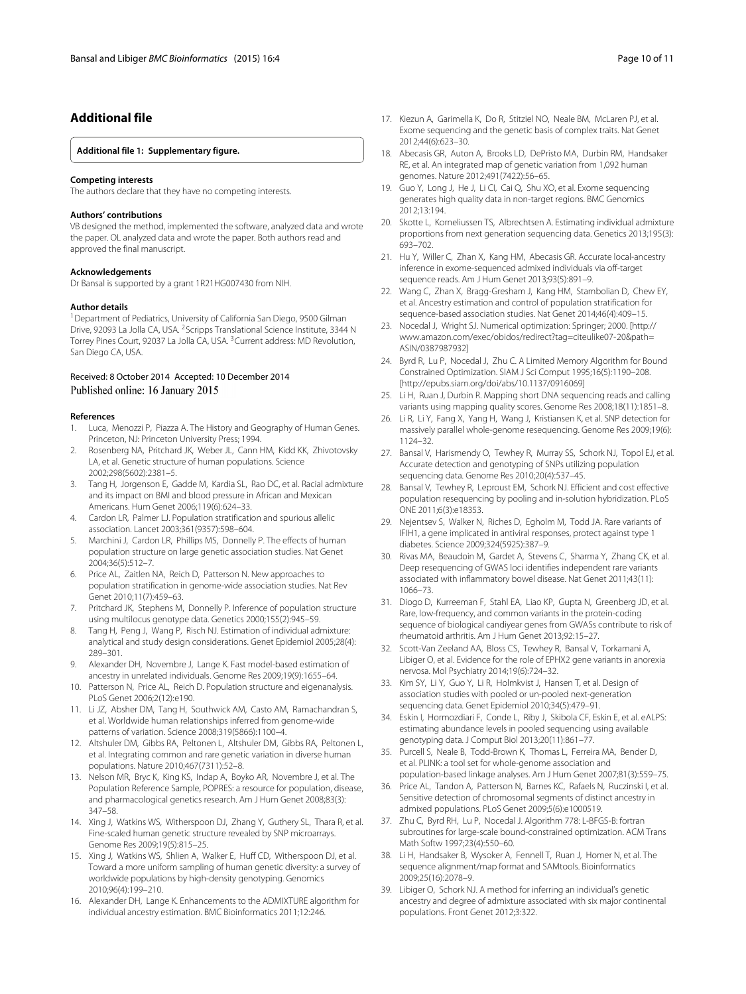### **Additional file**

#### <span id="page-9-32"></span>**[Additional file 1:](http://www.biomedcentral.com/content/supplementary/s12859-014-0418-7-s1.pdf) Supplementary figure.**

#### **Competing interests**

The authors declare that they have no competing interests.

#### **Authors' contributions**

VB designed the method, implemented the software, analyzed data and wrote the paper. OL analyzed data and wrote the paper. Both authors read and approved the final manuscript.

#### **Acknowledgements**

Dr Bansal is supported by a grant 1R21HG007430 from NIH.

#### **Author details**

<sup>1</sup> Department of Pediatrics, University of California San Diego, 9500 Gilman Drive, 92093 La Jolla CA, USA. 2Scripps Translational Science Institute, 3344 N Torrey Pines Court, 92037 La Jolla CA, USA. 3Current address: MD Revolution, San Diego CA, USA.

#### Received: 8 October 2014 Accepted: 10 December 2014 Published online: 16 January 2015

#### **References**

- <span id="page-9-0"></span>1. Luca, Menozzi P, Piazza A. The History and Geography of Human Genes. Princeton, NJ: Princeton University Press; 1994.
- <span id="page-9-1"></span>2. Rosenberg NA, Pritchard JK, Weber JL, Cann HM, Kidd KK, Zhivotovsky LA, et al. Genetic structure of human populations. Science 2002;298(5602):2381–5.
- <span id="page-9-2"></span>3. Tang H, Jorgenson E, Gadde M, Kardia SL, Rao DC, et al. Racial admixture and its impact on BMI and blood pressure in African and Mexican Americans. Hum Genet 2006;119(6):624–33.
- <span id="page-9-3"></span>4. Cardon LR, Palmer LJ. Population stratification and spurious allelic association. Lancet 2003;361(9357):598–604.
- <span id="page-9-4"></span>5. Marchini J, Cardon LR, Phillips MS, Donnelly P. The effects of human population structure on large genetic association studies. Nat Genet 2004;36(5):512–7.
- <span id="page-9-5"></span>6. Price AL, Zaitlen NA, Reich D, Patterson N. New approaches to population stratification in genome-wide association studies. Nat Rev Genet 2010;11(7):459–63.
- <span id="page-9-6"></span>7. Pritchard JK, Stephens M, Donnelly P. Inference of population structure using multilocus genotype data. Genetics 2000;155(2):945–59.
- <span id="page-9-7"></span>8. Tang H, Peng J, Wang P, Risch NJ. Estimation of individual admixture: analytical and study design considerations. Genet Epidemiol 2005;28(4): 289–301.
- <span id="page-9-8"></span>9. Alexander DH, Novembre J, Lange K. Fast model-based estimation of ancestry in unrelated individuals. Genome Res 2009;19(9):1655–64.
- <span id="page-9-9"></span>10. Patterson N, Price AL, Reich D. Population structure and eigenanalysis. PLoS Genet 2006;2(12):e190.
- <span id="page-9-10"></span>11. Li JZ, Absher DM, Tang H, Southwick AM, Casto AM, Ramachandran S, et al. Worldwide human relationships inferred from genome-wide patterns of variation. Science 2008;319(5866):1100–4.
- <span id="page-9-29"></span>12. Altshuler DM, Gibbs RA, Peltonen L, Altshuler DM, Gibbs RA, Peltonen L, et al. Integrating common and rare genetic variation in diverse human populations. Nature 2010;467(7311):52–8.
- 13. Nelson MR, Bryc K, King KS, Indap A, Boyko AR, Novembre J, et al. The Population Reference Sample, POPRES: a resource for population, disease, and pharmacological genetics research. Am J Hum Genet 2008;83(3): 347–58.
- 14. Xing J, Watkins WS, Witherspoon DJ, Zhang Y, Guthery SL, Thara R, et al. Fine-scaled human genetic structure revealed by SNP microarrays. Genome Res 2009;19(5):815–25.
- <span id="page-9-11"></span>15. Xing J, Watkins WS, Shlien A, Walker E, Huff CD, Witherspoon DJ, et al. Toward a more uniform sampling of human genetic diversity: a survey of worldwide populations by high-density genotyping. Genomics 2010;96(4):199–210.
- <span id="page-9-12"></span>16. Alexander DH, Lange K. Enhancements to the ADMIXTURE algorithm for individual ancestry estimation. BMC Bioinformatics 2011;12:246.
- <span id="page-9-13"></span>17. Kiezun A, Garimella K, Do R, Stitziel NO, Neale BM, McLaren PJ, et al. Exome sequencing and the genetic basis of complex traits. Nat Genet 2012;44(6):623–30.
- <span id="page-9-14"></span>18. Abecasis GR, Auton A, Brooks LD, DePristo MA, Durbin RM, Handsaker RE, et al. An integrated map of genetic variation from 1,092 human genomes. Nature 2012;491(7422):56–65.
- <span id="page-9-15"></span>19. Guo Y, Long J, He J, Li CI, Cai Q, Shu XO, et al. Exome sequencing generates high quality data in non-target regions. BMC Genomics 2012;13:194.
- <span id="page-9-16"></span>20. Skotte L, Korneliussen TS, Albrechtsen A. Estimating individual admixture proportions from next generation sequencing data. Genetics 2013;195(3): 693–702.
- 21. Hu Y, Willer C, Zhan X, Kang HM, Abecasis GR. Accurate local-ancestry inference in exome-sequenced admixed individuals via off-target sequence reads. Am J Hum Genet 2013;93(5):891–9.
- <span id="page-9-17"></span>22. Wang C, Zhan X, Bragg-Gresham J, Kang HM, Stambolian D, Chew EY, et al. Ancestry estimation and control of population stratification for sequence-based association studies. Nat Genet 2014;46(4):409–15.
- <span id="page-9-18"></span>23. Nocedal J, Wright SJ. Numerical optimization: Springer; 2000. [\[http://](http://www.amazon.com/exec/obidos/redirect?tag=citeulike07-20&path=ASIN/0387987932) [www.amazon.com/exec/obidos/redirect?tag=citeulike07-20&path=](http://www.amazon.com/exec/obidos/redirect?tag=citeulike07-20&path=ASIN/0387987932) [ASIN/0387987932\]](http://www.amazon.com/exec/obidos/redirect?tag=citeulike07-20&path=ASIN/0387987932)
- <span id="page-9-19"></span>24. Byrd R, Lu P, Nocedal J, Zhu C. A Limited Memory Algorithm for Bound Constrained Optimization. SIAM J Sci Comput 1995;16(5):1190–208. [\[http://epubs.siam.org/doi/abs/10.1137/0916069\]](http://epubs.siam.org/doi/abs/10.1137/0916069)
- <span id="page-9-20"></span>25. Li H, Ruan J, Durbin R. Mapping short DNA sequencing reads and calling variants using mapping quality scores. Genome Res 2008;18(11):1851–8.
- 26. Li R, Li Y, Fang X, Yang H, Wang J, Kristiansen K, et al. SNP detection for massively parallel whole-genome resequencing. Genome Res 2009;19(6): 1124–32.
- <span id="page-9-21"></span>27. Bansal V, Harismendy O, Tewhey R, Murray SS, Schork NJ, Topol EJ, et al. Accurate detection and genotyping of SNPs utilizing population sequencing data. Genome Res 2010;20(4):537–45.
- <span id="page-9-22"></span>28. Bansal V, Tewhey R, Leproust EM, Schork NJ. Efficient and cost effective population resequencing by pooling and in-solution hybridization. PLoS ONE 2011;6(3):e18353.
- <span id="page-9-23"></span>29. Nejentsev S, Walker N, Riches D, Egholm M, Todd JA. Rare variants of IFIH1, a gene implicated in antiviral responses, protect against type 1 diabetes. Science 2009;324(5925):387–9.
- <span id="page-9-24"></span>30. Rivas MA, Beaudoin M, Gardet A, Stevens C, Sharma Y, Zhang CK, et al. Deep resequencing of GWAS loci identifies independent rare variants associated with inflammatory bowel disease. Nat Genet 2011;43(11): 1066–73.
- <span id="page-9-25"></span>31. Diogo D, Kurreeman F, Stahl EA, Liao KP, Gupta N, Greenberg JD, et al. Rare, low-frequency, and common variants in the protein-coding sequence of biological candiyear genes from GWASs contribute to risk of rheumatoid arthritis. Am J Hum Genet 2013;92:15–27.
- <span id="page-9-26"></span>32. Scott-Van Zeeland AA, Bloss CS, Tewhey R, Bansal V, Torkamani A, Libiger O, et al. Evidence for the role of EPHX2 gene variants in anorexia nervosa. Mol Psychiatry 2014;19(6):724–32.
- <span id="page-9-27"></span>33. Kim SY, Li Y, Guo Y, Li R, Holmkvist J, Hansen T, et al. Design of association studies with pooled or un-pooled next-generation sequencing data. Genet Epidemiol 2010;34(5):479–91.
- <span id="page-9-28"></span>34. Eskin I, Hormozdiari F, Conde L, Riby J, Skibola CF, Eskin E, et al. eALPS: estimating abundance levels in pooled sequencing using available genotyping data. J Comput Biol 2013;20(11):861–77.
- <span id="page-9-30"></span>35. Purcell S, Neale B, Todd-Brown K, Thomas L, Ferreira MA, Bender D, et al. PLINK: a tool set for whole-genome association and population-based linkage analyses. Am J Hum Genet 2007;81(3):559–75.
- <span id="page-9-31"></span>36. Price AL, Tandon A, Patterson N, Barnes KC, Rafaels N, Ruczinski I, et al. Sensitive detection of chromosomal segments of distinct ancestry in admixed populations. PLoS Genet 2009;5(6):e1000519.
- <span id="page-9-33"></span>37. Zhu C, Byrd RH, Lu P, Nocedal J. Algorithm 778: L-BFGS-B: fortran subroutines for large-scale bound-constrained optimization. ACM Trans Math Softw 1997;23(4):550–60.
- <span id="page-9-34"></span>38. Li H, Handsaker B, Wysoker A, Fennell T, Ruan J, Homer N, et al. The sequence alignment/map format and SAMtools. Bioinformatics 2009;25(16):2078–9.
- <span id="page-9-35"></span>39. Libiger O, Schork NJ. A method for inferring an individual's genetic ancestry and degree of admixture associated with six major continental populations. Front Genet 2012;3:322.